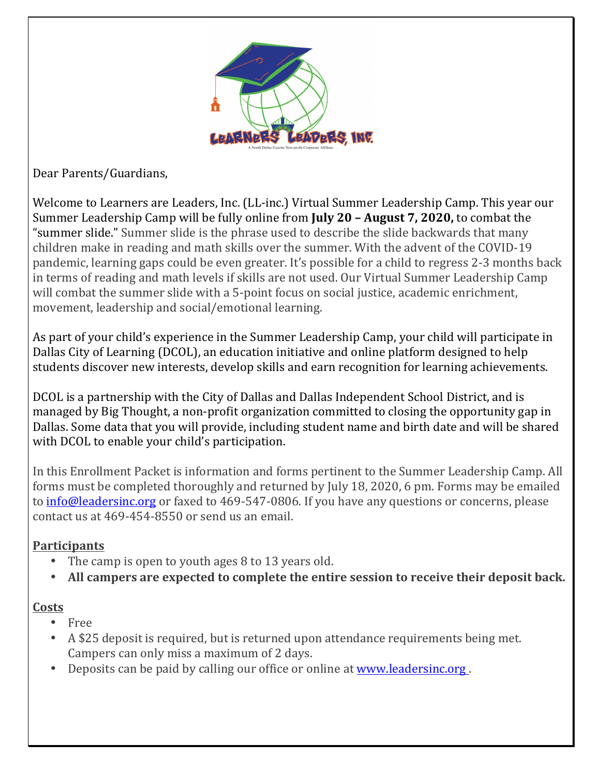

Dear Parents/Guardians,

Welcome to Learners are Leaders, Inc. (LL-inc.) Virtual Summer Leadership Camp. This year our Summer Leadership Camp will be fully online from **July 20 - August 7, 2020**, to combat the "summer slide." Summer slide is the phrase used to describe the slide backwards that many children make in reading and math skills over the summer. With the advent of the COVID-19 pandemic, learning gaps could be even greater. It's possible for a child to regress 2-3 months back in terms of reading and math levels if skills are not used. Our Virtual Summer Leadership Camp will combat the summer slide with a 5-point focus on social justice, academic enrichment, movement, leadership and social/emotional learning.

As part of your child's experience in the Summer Leadership Camp, your child will participate in Dallas City of Learning (DCOL), an education initiative and online platform designed to help students discover new interests, develop skills and earn recognition for learning achievements.

DCOL is a partnership with the City of Dallas and Dallas Independent School District, and is managed by Big Thought, a non-profit organization committed to closing the opportunity gap in Dallas. Some data that you will provide, including student name and birth date and will be shared with DCOL to enable your child's participation.

In this Enrollment Packet is information and forms pertinent to the Summer Leadership Camp. All forms must be completed thoroughly and returned by July 18, 2020, 6 pm. Forms may be emailed to info@leadersinc.org or faxed to 469-547-0806. If you have any questions or concerns, please contact us at 469-454-8550 or send us an email.

## **Participants**

- The camp is open to youth ages 8 to 13 years old.
- All campers are expected to complete the entire session to receive their deposit back.

## **Costs**

- Free
- A \$25 deposit is required, but is returned upon attendance requirements being met. Campers can only miss a maximum of 2 days.
- Deposits can be paid by calling our office or online at www.leadersinc.org.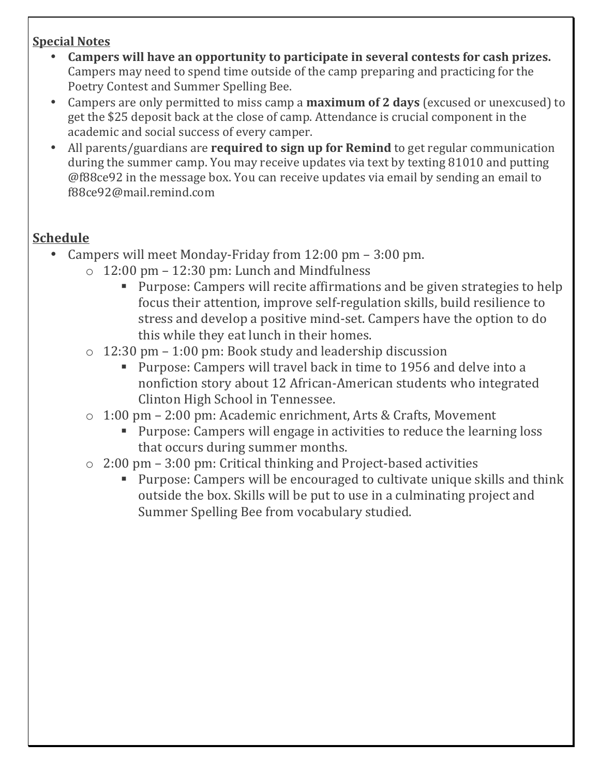## **Special Notes**

- Campers will have an opportunity to participate in several contests for cash prizes. Campers may need to spend time outside of the camp preparing and practicing for the Poetry Contest and Summer Spelling Bee.
- Campers are only permitted to miss camp a **maximum of 2 days** (excused or unexcused) to get the \$25 deposit back at the close of camp. Attendance is crucial component in the academic and social success of every camper.
- All parents/guardians are **required to sign up for Remind** to get regular communication during the summer camp. You may receive updates via text by texting 81010 and putting @f88ce92 in the message box. You can receive updates via email by sending an email to f88ce92@mail.remind.com

# **Schedule**

- Campers will meet Monday-Friday from  $12:00$  pm  $3:00$  pm.
	- $\circ$  12:00 pm 12:30 pm: Lunch and Mindfulness
		- Purpose: Campers will recite affirmations and be given strategies to help focus their attention, improve self-regulation skills, build resilience to stress and develop a positive mind-set. Campers have the option to do this while they eat lunch in their homes.
	- $\circ$  12:30 pm 1:00 pm: Book study and leadership discussion
		- Purpose: Campers will travel back in time to 1956 and delve into a nonfiction story about 12 African-American students who integrated Clinton High School in Tennessee.
	- $\circ$  1:00 pm 2:00 pm: Academic enrichment, Arts & Crafts, Movement
		- Purpose: Campers will engage in activities to reduce the learning loss that occurs during summer months.
	- $\circ$  2:00 pm 3:00 pm: Critical thinking and Project-based activities
		- Purpose: Campers will be encouraged to cultivate unique skills and think outside the box. Skills will be put to use in a culminating project and Summer Spelling Bee from vocabulary studied.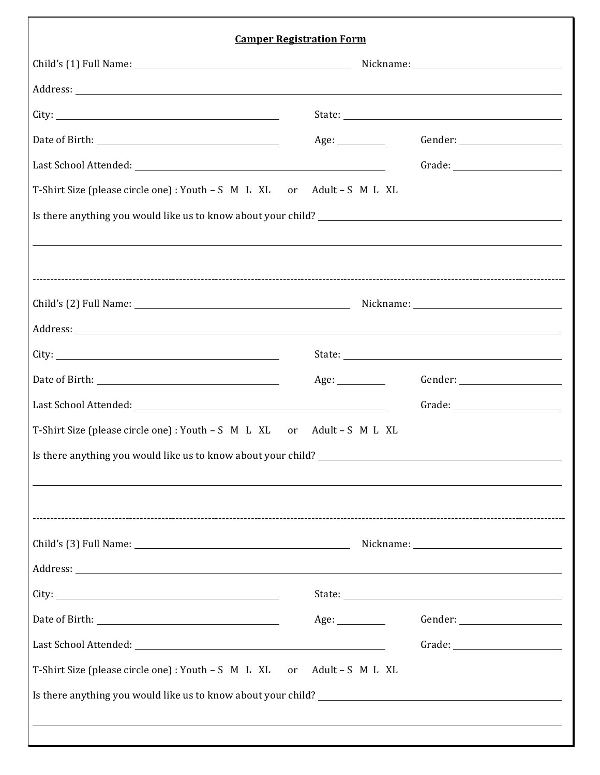| <b>Camper Registration Form</b>                                                                                                                                                                                                                                                                                                                                                                                                                                                                                                 |                   |                                                                                                                                                                                                                                                                                                                                                                                             |  |
|---------------------------------------------------------------------------------------------------------------------------------------------------------------------------------------------------------------------------------------------------------------------------------------------------------------------------------------------------------------------------------------------------------------------------------------------------------------------------------------------------------------------------------|-------------------|---------------------------------------------------------------------------------------------------------------------------------------------------------------------------------------------------------------------------------------------------------------------------------------------------------------------------------------------------------------------------------------------|--|
|                                                                                                                                                                                                                                                                                                                                                                                                                                                                                                                                 |                   |                                                                                                                                                                                                                                                                                                                                                                                             |  |
| Address: Note and the contract of the contract of the contract of the contract of the contract of the contract of the contract of the contract of the contract of the contract of the contract of the contract of the contract                                                                                                                                                                                                                                                                                                  |                   |                                                                                                                                                                                                                                                                                                                                                                                             |  |
|                                                                                                                                                                                                                                                                                                                                                                                                                                                                                                                                 |                   |                                                                                                                                                                                                                                                                                                                                                                                             |  |
|                                                                                                                                                                                                                                                                                                                                                                                                                                                                                                                                 | Age:              |                                                                                                                                                                                                                                                                                                                                                                                             |  |
|                                                                                                                                                                                                                                                                                                                                                                                                                                                                                                                                 |                   |                                                                                                                                                                                                                                                                                                                                                                                             |  |
| T-Shirt Size (please circle one) : Youth - S M L XL or Adult - S M L XL                                                                                                                                                                                                                                                                                                                                                                                                                                                         |                   |                                                                                                                                                                                                                                                                                                                                                                                             |  |
|                                                                                                                                                                                                                                                                                                                                                                                                                                                                                                                                 |                   |                                                                                                                                                                                                                                                                                                                                                                                             |  |
|                                                                                                                                                                                                                                                                                                                                                                                                                                                                                                                                 |                   |                                                                                                                                                                                                                                                                                                                                                                                             |  |
|                                                                                                                                                                                                                                                                                                                                                                                                                                                                                                                                 |                   |                                                                                                                                                                                                                                                                                                                                                                                             |  |
|                                                                                                                                                                                                                                                                                                                                                                                                                                                                                                                                 |                   |                                                                                                                                                                                                                                                                                                                                                                                             |  |
|                                                                                                                                                                                                                                                                                                                                                                                                                                                                                                                                 |                   |                                                                                                                                                                                                                                                                                                                                                                                             |  |
|                                                                                                                                                                                                                                                                                                                                                                                                                                                                                                                                 |                   |                                                                                                                                                                                                                                                                                                                                                                                             |  |
|                                                                                                                                                                                                                                                                                                                                                                                                                                                                                                                                 | Age:              |                                                                                                                                                                                                                                                                                                                                                                                             |  |
| Last School Attended: National Action of the School Attended: National Action of the School Attended: National Action of the School Attended: National Action of the School Attended: National Action of the School Action of                                                                                                                                                                                                                                                                                                   |                   | $\begin{picture}(150,10) \put(0,0){\dashbox{0.5}(10,0){ }} \put(15,0){\circle{10}} \put(15,0){\circle{10}} \put(15,0){\circle{10}} \put(15,0){\circle{10}} \put(15,0){\circle{10}} \put(15,0){\circle{10}} \put(15,0){\circle{10}} \put(15,0){\circle{10}} \put(15,0){\circle{10}} \put(15,0){\circle{10}} \put(15,0){\circle{10}} \put(15,0){\circle{10}} \put(15,0){\circle{10}} \put(15$ |  |
| T-Shirt Size (please circle one): Youth - S M L XL or Adult - S M L XL                                                                                                                                                                                                                                                                                                                                                                                                                                                          |                   |                                                                                                                                                                                                                                                                                                                                                                                             |  |
| Is there anything you would like us to know about your child?<br><u>Letting</u> the control of the control of the control of the use of the control of the control of the control of the control of the control of the control of the                                                                                                                                                                                                                                                                                           |                   |                                                                                                                                                                                                                                                                                                                                                                                             |  |
|                                                                                                                                                                                                                                                                                                                                                                                                                                                                                                                                 |                   |                                                                                                                                                                                                                                                                                                                                                                                             |  |
|                                                                                                                                                                                                                                                                                                                                                                                                                                                                                                                                 |                   |                                                                                                                                                                                                                                                                                                                                                                                             |  |
|                                                                                                                                                                                                                                                                                                                                                                                                                                                                                                                                 |                   |                                                                                                                                                                                                                                                                                                                                                                                             |  |
|                                                                                                                                                                                                                                                                                                                                                                                                                                                                                                                                 |                   |                                                                                                                                                                                                                                                                                                                                                                                             |  |
|                                                                                                                                                                                                                                                                                                                                                                                                                                                                                                                                 |                   |                                                                                                                                                                                                                                                                                                                                                                                             |  |
| ${\small \textbf{Date of Birth:}} \begin{tabular}{ c c c } \hline \textbf{Date of Birth:} & \textbf{if} & \textbf{if} \\ \hline \textbf{Date of birth:} & \textbf{if} & \textbf{if} \\ \hline \textbf{Date of the right:} & \textbf{if} & \textbf{if} \\ \hline \textbf{Set of the right:} & \textbf{if} & \textbf{if} \\ \hline \textbf{Set of the right:} & \textbf{if} & \textbf{if} \\ \hline \textbf{Set of the right:} & \textbf{if} & \textbf{if} \\ \hline \textbf{Set of the right:} & \textbf{if} & \textbf{if} \\ \$ |                   | $\begin{picture}(150,10) \put(0,0){\dashbox{0.5}(10,0){ }} \put(15,0){\circle{10}} \put(15,0){\circle{10}} \put(15,0){\circle{10}} \put(15,0){\circle{10}} \put(15,0){\circle{10}} \put(15,0){\circle{10}} \put(15,0){\circle{10}} \put(15,0){\circle{10}} \put(15,0){\circle{10}} \put(15,0){\circle{10}} \put(15,0){\circle{10}} \put(15,0){\circle{10}} \put(15,0){\circle{10}} \put(15$ |  |
|                                                                                                                                                                                                                                                                                                                                                                                                                                                                                                                                 |                   | $\begin{picture}(150,10) \put(0,0){\dashbox{0.5}(10,0){ }} \put(15,0){\circle{10}} \put(15,0){\circle{10}} \put(15,0){\circle{10}} \put(15,0){\circle{10}} \put(15,0){\circle{10}} \put(15,0){\circle{10}} \put(15,0){\circle{10}} \put(15,0){\circle{10}} \put(15,0){\circle{10}} \put(15,0){\circle{10}} \put(15,0){\circle{10}} \put(15,0){\circle{10}} \put(15,0){\circle{10}} \put(15$ |  |
| T-Shirt Size (please circle one) : Youth – S M L XL                                                                                                                                                                                                                                                                                                                                                                                                                                                                             | or Adult-S M L XL |                                                                                                                                                                                                                                                                                                                                                                                             |  |
| Is there anything you would like us to know about your child?                                                                                                                                                                                                                                                                                                                                                                                                                                                                   |                   |                                                                                                                                                                                                                                                                                                                                                                                             |  |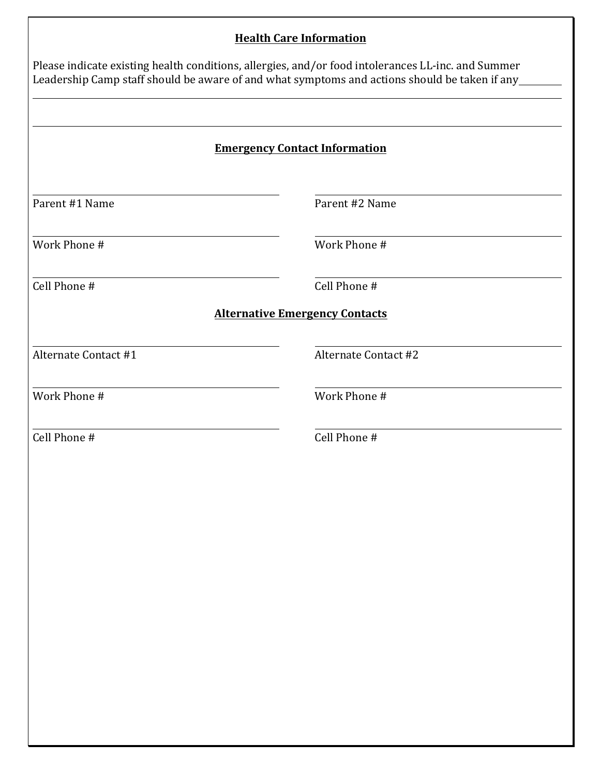### **Health Care Information**

|                                      | Please indicate existing health conditions, allergies, and/or food intolerances LL-inc. and Summer<br>Leadership Camp staff should be aware of and what symptoms and actions should be taken if any |  |  |
|--------------------------------------|-----------------------------------------------------------------------------------------------------------------------------------------------------------------------------------------------------|--|--|
| <b>Emergency Contact Information</b> |                                                                                                                                                                                                     |  |  |
| Parent #1 Name                       | Parent #2 Name                                                                                                                                                                                      |  |  |
| Work Phone #                         | Work Phone #                                                                                                                                                                                        |  |  |
| Cell Phone #                         | Cell Phone #                                                                                                                                                                                        |  |  |
|                                      | <b>Alternative Emergency Contacts</b>                                                                                                                                                               |  |  |
| Alternate Contact #1                 | <b>Alternate Contact #2</b>                                                                                                                                                                         |  |  |
| Work Phone #                         | Work Phone #                                                                                                                                                                                        |  |  |
| Cell Phone #                         | Cell Phone #                                                                                                                                                                                        |  |  |
|                                      |                                                                                                                                                                                                     |  |  |
|                                      |                                                                                                                                                                                                     |  |  |
|                                      |                                                                                                                                                                                                     |  |  |
|                                      |                                                                                                                                                                                                     |  |  |
|                                      |                                                                                                                                                                                                     |  |  |
|                                      |                                                                                                                                                                                                     |  |  |
|                                      |                                                                                                                                                                                                     |  |  |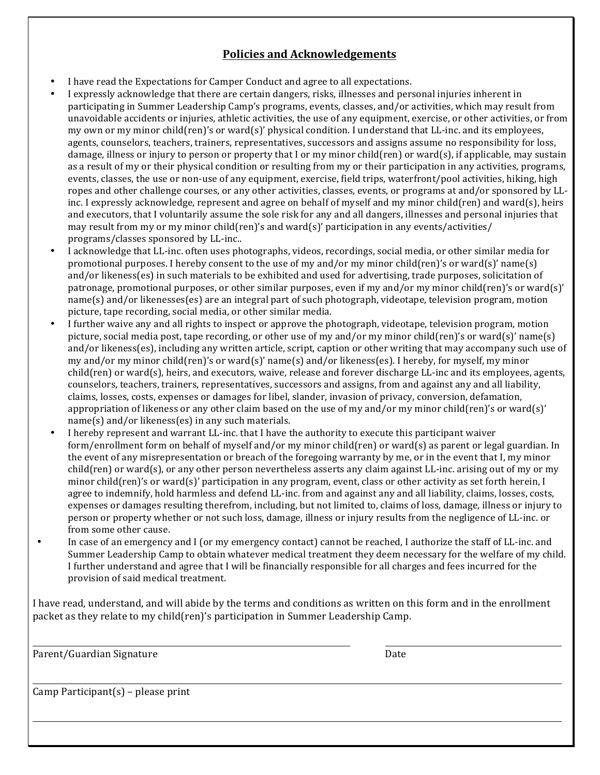#### **Policies and Acknowledgements**

- I have read the Expectations for Camper Conduct and agree to all expectations.
- I expressly acknowledge that there are certain dangers, risks, illnesses and personal injuries inherent in participating in Summer Leadership Camp's programs, events, classes, and/or activities, which may result from unavoidable accidents or injuries, athletic activities, the use of any equipment, exercise, or other activities, or from my own or my minor child(ren)'s or ward(s)' physical condition. I understand that LL-inc. and its employees, agents, counselors, teachers, trainers, representatives, successors and assigns assume no responsibility for loss, damage, illness or injury to person or property that I or my minor child(ren) or ward(s), if applicable, may sustain as a result of my or their physical condition or resulting from my or their participation in any activities, programs, events, classes, the use or non-use of any equipment, exercise, field trips, waterfront/pool activities, hiking, high ropes and other challenge courses, or any other activities, classes, events, or programs at and/or sponsored by LLinc. I expressly acknowledge, represent and agree on behalf of myself and my minor child(ren) and ward(s), heirs and executors, that I voluntarily assume the sole risk for any and all dangers, illnesses and personal injuries that may result from my or my minor child(ren)'s and ward(s)' participation in any events/activities/ programs/classes sponsored by LL-inc..
- I acknowledge that LL-inc. often uses photographs, videos, recordings, social media, or other similar media for promotional purposes. I hereby consent to the use of my and/or my minor child(ren)'s or ward(s)' name(s) and/or likeness(es) in such materials to be exhibited and used for advertising, trade purposes, solicitation of patronage, promotional purposes, or other similar purposes, even if my and/or my minor child(ren)'s or ward(s)' name(s) and/or likenesses(es) are an integral part of such photograph, videotape, television program, motion picture, tape recording, social media, or other similar media.
- I further waive any and all rights to inspect or approve the photograph, videotape, television program, motion picture, social media post, tape recording, or other use of my and/or my minor child(ren)'s or ward(s)' name(s) and/or likeness(es), including any written article, script, caption or other writing that may accompany such use of my and/or my minor child(ren)'s or ward(s)' name(s) and/or likeness(es). I hereby, for myself, my minor  $child$ (ren) or ward(s), heirs, and executors, waive, release and forever discharge LL-inc and its employees, agents, counselors, teachers, trainers, representatives, successors and assigns, from and against any and all liability, claims, losses, costs, expenses or damages for libel, slander, invasion of privacy, conversion, defamation, appropriation of likeness or any other claim based on the use of my and/or my minor child(ren)'s or ward(s)'  $name(s)$  and/or likeness(es) in any such materials.
- I hereby represent and warrant LL-inc. that I have the authority to execute this participant waiver form/enrollment form on behalf of myself and/or my minor child(ren) or ward(s) as parent or legal guardian. In the event of any misrepresentation or breach of the foregoing warranty by me, or in the event that I, my minor  $child$ (ren) or ward(s), or any other person nevertheless asserts any claim against LL-inc. arising out of my or my minor child(ren)'s or ward(s)' participation in any program, event, class or other activity as set forth herein, I agree to indemnify, hold harmless and defend LL-inc. from and against any and all liability, claims, losses, costs, expenses or damages resulting therefrom, including, but not limited to, claims of loss, damage, illness or injury to person or property whether or not such loss, damage, illness or injury results from the negligence of LL-inc. or from some other cause.
- In case of an emergency and I (or my emergency contact) cannot be reached, I authorize the staff of LL-inc. and Summer Leadership Camp to obtain whatever medical treatment they deem necessary for the welfare of my child. I further understand and agree that I will be financially responsible for all charges and fees incurred for the provision of said medical treatment.

I have read, understand, and will abide by the terms and conditions as written on this form and in the enrollment packet as they relate to my child(ren)'s participation in Summer Leadership Camp.

Parent/Guardian Signature **Date** Date Date **Date** 

Camp Participant(s) – please print